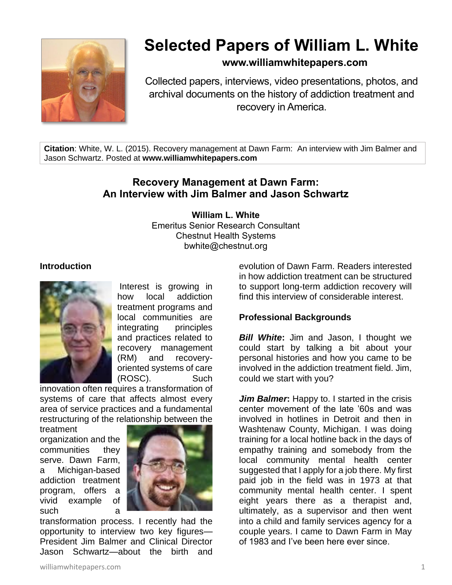

# **Selected Papers of William L. White**

# **www.williamwhitepapers.com**

Collected papers, interviews, video presentations, photos, and archival documents on the history of addiction treatment and recovery in America.

**Citation**: White, W. L. (2015). Recovery management at Dawn Farm: An interview with Jim Balmer and Jason Schwartz. Posted at **www.williamwhitepapers.com**

# **Recovery Management at Dawn Farm: An Interview with Jim Balmer and Jason Schwartz**

#### **William L. White**

Emeritus Senior Research Consultant Chestnut Health Systems bwhite@chestnut.org

#### **Introduction**



Interest is growing in how local addiction treatment programs and local communities are integrating principles and practices related to recovery management (RM) and recoveryoriented systems of care (ROSC). Such

innovation often requires a transformation of systems of care that affects almost every area of service practices and a fundamental restructuring of the relationship between the

treatment organization and the communities they serve. Dawn Farm, a Michigan-based addiction treatment program, offers a vivid example of such a a



transformation process. I recently had the opportunity to interview two key figures— President Jim Balmer and Clinical Director Jason Schwartz—about the birth and

evolution of Dawn Farm. Readers interested in how addiction treatment can be structured to support long-term addiction recovery will find this interview of considerable interest.

#### **Professional Backgrounds**

*Bill White*: Jim and Jason, I thought we could start by talking a bit about your personal histories and how you came to be involved in the addiction treatment field. Jim, could we start with you?

*Jim Balmer***:** Happy to. I started in the crisis center movement of the late '60s and was involved in hotlines in Detroit and then in Washtenaw County, Michigan. I was doing training for a local hotline back in the days of empathy training and somebody from the local community mental health center suggested that I apply for a job there. My first paid job in the field was in 1973 at that community mental health center. I spent eight years there as a therapist and, ultimately, as a supervisor and then went into a child and family services agency for a couple years. I came to Dawn Farm in May of 1983 and I've been here ever since.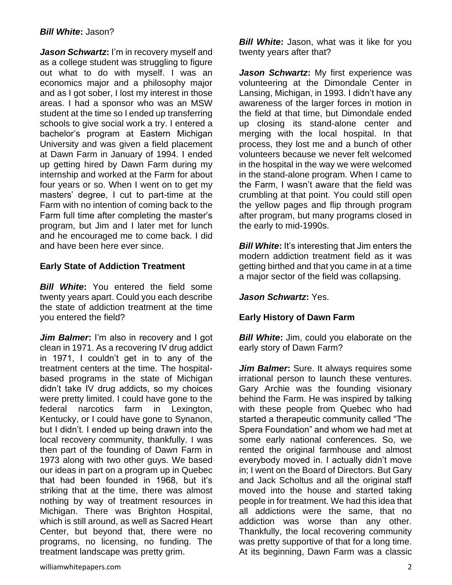#### *Bill White***:** Jason?

*Jason Schwartz***:** I'm in recovery myself and as a college student was struggling to figure out what to do with myself. I was an economics major and a philosophy major and as I got sober, I lost my interest in those areas. I had a sponsor who was an MSW student at the time so I ended up transferring schools to give social work a try. I entered a bachelor's program at Eastern Michigan University and was given a field placement at Dawn Farm in January of 1994. I ended up getting hired by Dawn Farm during my internship and worked at the Farm for about four years or so. When I went on to get my masters' degree, I cut to part-time at the Farm with no intention of coming back to the Farm full time after completing the master's program, but Jim and I later met for lunch and he encouraged me to come back. I did and have been here ever since.

#### **Early State of Addiction Treatment**

*Bill White***:** You entered the field some twenty years apart. Could you each describe the state of addiction treatment at the time you entered the field?

*Jim Balmer***:** I'm also in recovery and I got clean in 1971. As a recovering IV drug addict in 1971, I couldn't get in to any of the treatment centers at the time. The hospitalbased programs in the state of Michigan didn't take IV drug addicts, so my choices were pretty limited. I could have gone to the federal narcotics farm in Lexington, Kentucky, or I could have gone to Synanon, but I didn't. I ended up being drawn into the local recovery community, thankfully. I was then part of the founding of Dawn Farm in 1973 along with two other guys. We based our ideas in part on a program up in Quebec that had been founded in 1968, but it's striking that at the time, there was almost nothing by way of treatment resources in Michigan. There was Brighton Hospital, which is still around, as well as Sacred Heart Center, but beyond that, there were no programs, no licensing, no funding. The treatment landscape was pretty grim.

**Bill White:** Jason, what was it like for you twenty years after that?

*Jason Schwartz***:** My first experience was volunteering at the Dimondale Center in Lansing, Michigan, in 1993. I didn't have any awareness of the larger forces in motion in the field at that time, but Dimondale ended up closing its stand-alone center and merging with the local hospital. In that process, they lost me and a bunch of other volunteers because we never felt welcomed in the hospital in the way we were welcomed in the stand-alone program. When I came to the Farm, I wasn't aware that the field was crumbling at that point. You could still open the yellow pages and flip through program after program, but many programs closed in the early to mid-1990s.

*Bill White*: It's interesting that Jim enters the modern addiction treatment field as it was getting birthed and that you came in at a time a major sector of the field was collapsing.

#### *Jason Schwartz***:** Yes.

# **Early History of Dawn Farm**

*Bill White: Jim, could you elaborate on the* early story of Dawn Farm?

*Jim Balmer***:** Sure. It always requires some irrational person to launch these ventures. Gary Archie was the founding visionary behind the Farm. He was inspired by talking with these people from Quebec who had started a therapeutic community called "The Spera Foundation" and whom we had met at some early national conferences. So, we rented the original farmhouse and almost everybody moved in. I actually didn't move in; I went on the Board of Directors. But Gary and Jack Scholtus and all the original staff moved into the house and started taking people in for treatment. We had this idea that all addictions were the same, that no addiction was worse than any other. Thankfully, the local recovering community was pretty supportive of that for a long time. At its beginning, Dawn Farm was a classic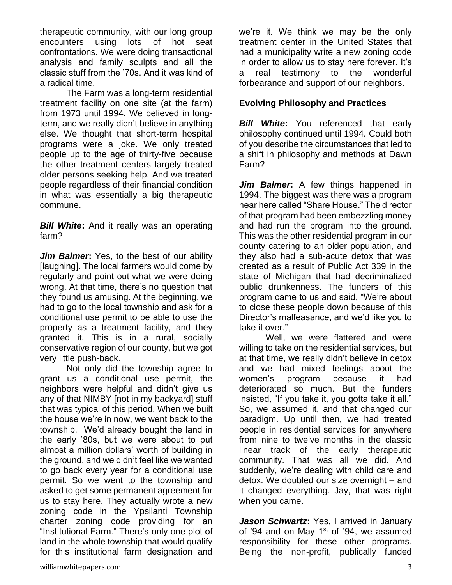therapeutic community, with our long group encounters using lots of hot seat confrontations. We were doing transactional analysis and family sculpts and all the classic stuff from the '70s. And it was kind of a radical time.

The Farm was a long-term residential treatment facility on one site (at the farm) from 1973 until 1994. We believed in longterm, and we really didn't believe in anything else. We thought that short-term hospital programs were a joke. We only treated people up to the age of thirty-five because the other treatment centers largely treated older persons seeking help. And we treated people regardless of their financial condition in what was essentially a big therapeutic commune.

*Bill White***:** And it really was an operating farm?

*Jim Balmer***:** Yes, to the best of our ability [laughing]. The local farmers would come by regularly and point out what we were doing wrong. At that time, there's no question that they found us amusing. At the beginning, we had to go to the local township and ask for a conditional use permit to be able to use the property as a treatment facility, and they granted it. This is in a rural, socially conservative region of our county, but we got very little push-back.

Not only did the township agree to grant us a conditional use permit, the neighbors were helpful and didn't give us any of that NIMBY [not in my backyard] stuff that was typical of this period. When we built the house we're in now, we went back to the township. We'd already bought the land in the early '80s, but we were about to put almost a million dollars' worth of building in the ground, and we didn't feel like we wanted to go back every year for a conditional use permit. So we went to the township and asked to get some permanent agreement for us to stay here. They actually wrote a new zoning code in the Ypsilanti Township charter zoning code providing for an "Institutional Farm." There's only one plot of land in the whole township that would qualify for this institutional farm designation and we're it. We think we may be the only treatment center in the United States that had a municipality write a new zoning code in order to allow us to stay here forever. It's a real testimony to the wonderful forbearance and support of our neighbors.

### **Evolving Philosophy and Practices**

**Bill White:** You referenced that early philosophy continued until 1994. Could both of you describe the circumstances that led to a shift in philosophy and methods at Dawn Farm?

*Jim Balmer***:** A few things happened in 1994. The biggest was there was a program near here called "Share House." The director of that program had been embezzling money and had run the program into the ground. This was the other residential program in our county catering to an older population, and they also had a sub-acute detox that was created as a result of Public Act 339 in the state of Michigan that had decriminalized public drunkenness. The funders of this program came to us and said, "We're about to close these people down because of this Director's malfeasance, and we'd like you to take it over."

Well, we were flattered and were willing to take on the residential services, but at that time, we really didn't believe in detox and we had mixed feelings about the women's program because it had deteriorated so much. But the funders insisted, "If you take it, you gotta take it all." So, we assumed it, and that changed our paradigm. Up until then, we had treated people in residential services for anywhere from nine to twelve months in the classic linear track of the early therapeutic community. That was all we did. And suddenly, we're dealing with child care and detox. We doubled our size overnight – and it changed everything. Jay, that was right when you came.

*Jason Schwartz***:** Yes, I arrived in January of '94 and on May  $1<sup>st</sup>$  of '94, we assumed responsibility for these other programs. Being the non-profit, publically funded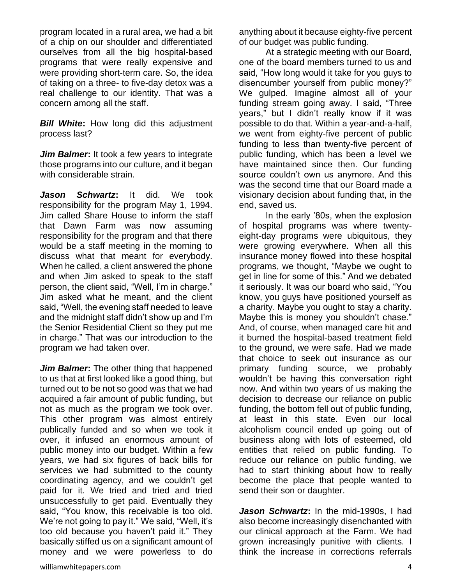program located in a rural area, we had a bit of a chip on our shoulder and differentiated ourselves from all the big hospital-based programs that were really expensive and were providing short-term care. So, the idea of taking on a three- to five-day detox was a real challenge to our identity. That was a concern among all the staff.

*Bill White***:** How long did this adjustment process last?

*Jim Balmer***:** It took a few years to integrate those programs into our culture, and it began with considerable strain.

*Jason Schwartz***:** It did. We took responsibility for the program May 1, 1994. Jim called Share House to inform the staff that Dawn Farm was now assuming responsibility for the program and that there would be a staff meeting in the morning to discuss what that meant for everybody. When he called, a client answered the phone and when Jim asked to speak to the staff person, the client said, "Well, I'm in charge." Jim asked what he meant, and the client said, "Well, the evening staff needed to leave and the midnight staff didn't show up and I'm the Senior Residential Client so they put me in charge." That was our introduction to the program we had taken over.

*Jim Balmer***:** The other thing that happened to us that at first looked like a good thing, but turned out to be not so good was that we had acquired a fair amount of public funding, but not as much as the program we took over. This other program was almost entirely publically funded and so when we took it over, it infused an enormous amount of public money into our budget. Within a few years, we had six figures of back bills for services we had submitted to the county coordinating agency, and we couldn't get paid for it. We tried and tried and tried unsuccessfully to get paid. Eventually they said, "You know, this receivable is too old. We're not going to pay it." We said, "Well, it's too old because you haven't paid it." They basically stiffed us on a significant amount of money and we were powerless to do

anything about it because eighty-five percent of our budget was public funding.

At a strategic meeting with our Board, one of the board members turned to us and said, "How long would it take for you guys to disencumber yourself from public money?" We gulped. Imagine almost all of your funding stream going away. I said, "Three years," but I didn't really know if it was possible to do that. Within a year-and-a-half, we went from eighty-five percent of public funding to less than twenty-five percent of public funding, which has been a level we have maintained since then. Our funding source couldn't own us anymore. And this was the second time that our Board made a visionary decision about funding that, in the end, saved us.

In the early '80s, when the explosion of hospital programs was where twentyeight-day programs were ubiquitous, they were growing everywhere. When all this insurance money flowed into these hospital programs, we thought, "Maybe we ought to get in line for some of this." And we debated it seriously. It was our board who said, "You know, you guys have positioned yourself as a charity. Maybe you ought to stay a charity. Maybe this is money you shouldn't chase." And, of course, when managed care hit and it burned the hospital-based treatment field to the ground, we were safe. Had we made that choice to seek out insurance as our primary funding source, we probably wouldn't be having this conversation right now. And within two years of us making the decision to decrease our reliance on public funding, the bottom fell out of public funding, at least in this state. Even our local alcoholism council ended up going out of business along with lots of esteemed, old entities that relied on public funding. To reduce our reliance on public funding, we had to start thinking about how to really become the place that people wanted to send their son or daughter.

*Jason Schwartz***:** In the mid-1990s, I had also become increasingly disenchanted with our clinical approach at the Farm. We had grown increasingly punitive with clients. I think the increase in corrections referrals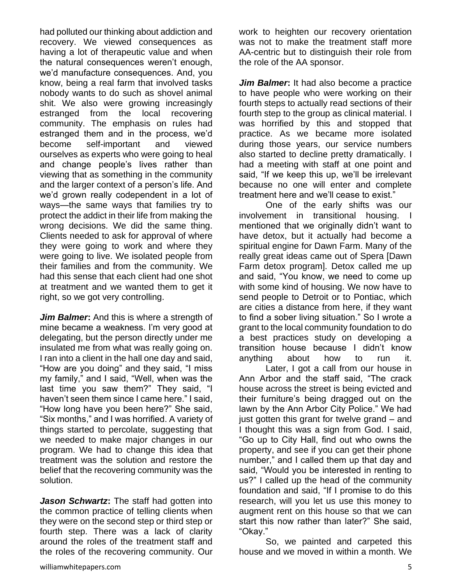had polluted our thinking about addiction and recovery. We viewed consequences as having a lot of therapeutic value and when the natural consequences weren't enough, we'd manufacture consequences. And, you know, being a real farm that involved tasks nobody wants to do such as shovel animal shit. We also were growing increasingly estranged from the local recovering community. The emphasis on rules had estranged them and in the process, we'd become self-important and viewed ourselves as experts who were going to heal and change people's lives rather than viewing that as something in the community and the larger context of a person's life. And we'd grown really codependent in a lot of ways—the same ways that families try to protect the addict in their life from making the wrong decisions. We did the same thing. Clients needed to ask for approval of where they were going to work and where they were going to live. We isolated people from their families and from the community. We had this sense that each client had one shot at treatment and we wanted them to get it right, so we got very controlling.

*Jim Balmer***:** And this is where a strength of mine became a weakness. I'm very good at delegating, but the person directly under me insulated me from what was really going on. I ran into a client in the hall one day and said, "How are you doing" and they said, "I miss my family," and I said, "Well, when was the last time you saw them?" They said, "I haven't seen them since I came here." I said, "How long have you been here?" She said, "Six months," and I was horrified. A variety of things started to percolate, suggesting that we needed to make major changes in our program. We had to change this idea that treatment was the solution and restore the belief that the recovering community was the solution.

*Jason Schwartz***:** The staff had gotten into the common practice of telling clients when they were on the second step or third step or fourth step. There was a lack of clarity around the roles of the treatment staff and the roles of the recovering community. Our

work to heighten our recovery orientation was not to make the treatment staff more AA-centric but to distinguish their role from the role of the AA sponsor.

*Jim Balmer***:** It had also become a practice to have people who were working on their fourth steps to actually read sections of their fourth step to the group as clinical material. I was horrified by this and stopped that practice. As we became more isolated during those years, our service numbers also started to decline pretty dramatically. I had a meeting with staff at one point and said, "If we keep this up, we'll be irrelevant because no one will enter and complete treatment here and we'll cease to exist."

One of the early shifts was our involvement in transitional housing. I mentioned that we originally didn't want to have detox, but it actually had become a spiritual engine for Dawn Farm. Many of the really great ideas came out of Spera [Dawn Farm detox program]. Detox called me up and said, "You know, we need to come up with some kind of housing. We now have to send people to Detroit or to Pontiac, which are cities a distance from here, if they want to find a sober living situation." So I wrote a grant to the local community foundation to do a best practices study on developing a transition house because I didn't know anything about how to run it.

Later, I got a call from our house in Ann Arbor and the staff said, "The crack house across the street is being evicted and their furniture's being dragged out on the lawn by the Ann Arbor City Police." We had just gotten this grant for twelve grand – and I thought this was a sign from God. I said, "Go up to City Hall, find out who owns the property, and see if you can get their phone number," and I called them up that day and said, "Would you be interested in renting to us?" I called up the head of the community foundation and said, "If I promise to do this research, will you let us use this money to augment rent on this house so that we can start this now rather than later?" She said, "Okay."

So, we painted and carpeted this house and we moved in within a month. We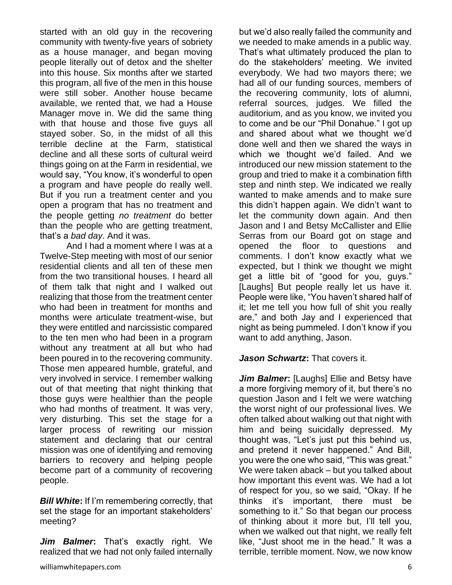started with an old guy in the recovering community with twenty-five years of sobriety as a house manager, and began moving people literally out of detox and the shelter into this house. Six months after we started this program, all five of the men in this house were still sober. Another house became available, we rented that, we had a House Manager move in. We did the same thing with that house and those five guys all stayed sober. So, in the midst of all this terrible decline at the Farm, statistical decline and all these sorts of cultural weird things going on at the Farm in residential, we would say, "You know, it's wonderful to open a program and have people do really well. But if you run a treatment center and you open a program that has no treatment and the people getting *no treatment* do better than the people who are getting treatment, that's a *bad day*. And it was.

And I had a moment where I was at a Twelve-Step meeting with most of our senior residential clients and all ten of these men from the two transitional houses. I heard all of them talk that night and I walked out realizing that those from the treatment center who had been in treatment for months and months were articulate treatment-wise, but they were entitled and narcissistic compared to the ten men who had been in a program without any treatment at all but who had been poured in to the recovering community. Those men appeared humble, grateful, and very involved in service. I remember walking out of that meeting that night thinking that those guys were healthier than the people who had months of treatment. It was very, very disturbing. This set the stage for a larger process of rewriting our mission statement and declaring that our central mission was one of identifying and removing barriers to recovery and helping people become part of a community of recovering people.

*Bill White***:** If I'm remembering correctly, that set the stage for an important stakeholders' meeting?

*Jim Balmer***:** That's exactly right. We realized that we had not only failed internally but we'd also really failed the community and we needed to make amends in a public way. That's what ultimately produced the plan to do the stakeholders' meeting. We invited everybody. We had two mayors there; we had all of our funding sources, members of the recovering community, lots of alumni, referral sources, judges. We filled the auditorium, and as you know, we invited you to come and be our "Phil Donahue." I got up and shared about what we thought we'd done well and then we shared the ways in which we thought we'd failed. And we introduced our new mission statement to the group and tried to make it a combination fifth step and ninth step. We indicated we really wanted to make amends and to make sure this didn't happen again. We didn't want to let the community down again. And then Jason and I and Betsy McCallister and Ellie Serras from our Board got on stage and opened the floor to questions and comments. I don't know exactly what we expected, but I think we thought we might get a little bit of "good for you, guys." [Laughs] But people really let us have it. People were like, "You haven't shared half of it; let me tell you how full of shit you really are," and both Jay and I experienced that night as being pummeled. I don't know if you want to add anything, Jason.

#### *Jason Schwartz***:** That covers it.

*Jim Balmer***:** [Laughs] Ellie and Betsy have a more forgiving memory of it, but there's no question Jason and I felt we were watching the worst night of our professional lives. We often talked about walking out that night with him and being suicidally depressed. My thought was, "Let's just put this behind us, and pretend it never happened." And Bill, you were the one who said, "This was great." We were taken aback – but you talked about how important this event was. We had a lot of respect for you, so we said, "Okay. If he thinks it's important, there must be something to it." So that began our process of thinking about it more but, I'll tell you, when we walked out that night, we really felt like, "Just shoot me in the head." It was a terrible, terrible moment. Now, we now know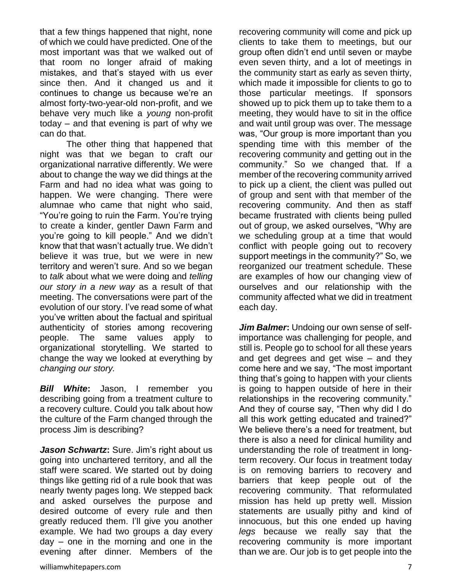that a few things happened that night, none of which we could have predicted. One of the most important was that we walked out of that room no longer afraid of making mistakes, and that's stayed with us ever since then. And it changed us and it continues to change us because we're an almost forty-two-year-old non-profit, and we behave very much like a *young* non-profit today – and that evening is part of why we can do that.

The other thing that happened that night was that we began to craft our organizational narrative differently. We were about to change the way we did things at the Farm and had no idea what was going to happen. We were changing. There were alumnae who came that night who said, "You're going to ruin the Farm. You're trying to create a kinder, gentler Dawn Farm and you're going to kill people." And we didn't know that that wasn't actually true. We didn't believe it was true, but we were in new territory and weren't sure. And so we began to *talk* about what we were doing and *telling our story in a new way* as a result of that meeting. The conversations were part of the evolution of our story. I've read some of what you've written about the factual and spiritual authenticity of stories among recovering people. The same values apply to organizational storytelling. We started to change the way we looked at everything by *changing our story.*

*Bill White***:** Jason, I remember you describing going from a treatment culture to a recovery culture. Could you talk about how the culture of the Farm changed through the process Jim is describing?

*Jason Schwartz***:** Sure. Jim's right about us going into unchartered territory, and all the staff were scared. We started out by doing things like getting rid of a rule book that was nearly twenty pages long. We stepped back and asked ourselves the purpose and desired outcome of every rule and then greatly reduced them. I'll give you another example. We had two groups a day every day – one in the morning and one in the evening after dinner. Members of the

recovering community will come and pick up clients to take them to meetings, but our group often didn't end until seven or maybe even seven thirty, and a lot of meetings in the community start as early as seven thirty, which made it impossible for clients to go to those particular meetings. If sponsors showed up to pick them up to take them to a meeting, they would have to sit in the office and wait until group was over. The message was, "Our group is more important than you spending time with this member of the recovering community and getting out in the community." So we changed that. If a member of the recovering community arrived to pick up a client, the client was pulled out of group and sent with that member of the recovering community. And then as staff became frustrated with clients being pulled out of group, we asked ourselves, "Why are we scheduling group at a time that would conflict with people going out to recovery support meetings in the community?" So, we reorganized our treatment schedule. These are examples of how our changing view of ourselves and our relationship with the community affected what we did in treatment each day.

*Jim Balmer***:** Undoing our own sense of selfimportance was challenging for people, and still is. People go to school for all these years and get degrees and get wise – and they come here and we say, "The most important thing that's going to happen with your clients is going to happen outside of here in their relationships in the recovering community." And they of course say, "Then why did I do all this work getting educated and trained?" We believe there's a need for treatment, but there is also a need for clinical humility and understanding the role of treatment in longterm recovery. Our focus in treatment today is on removing barriers to recovery and barriers that keep people out of the recovering community. That reformulated mission has held up pretty well. Mission statements are usually pithy and kind of innocuous, but this one ended up having *legs* because we really say that the recovering community is more important than we are. Our job is to get people into the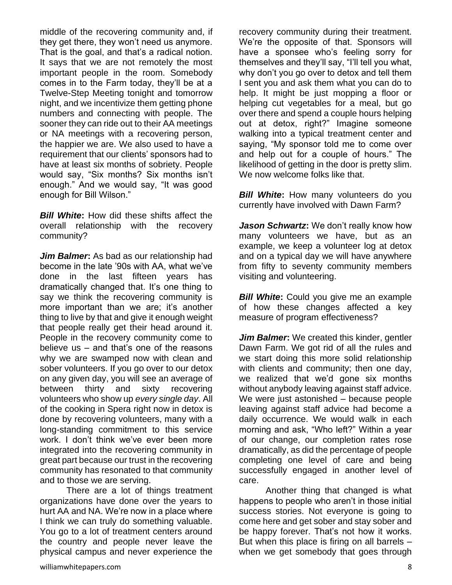middle of the recovering community and, if they get there, they won't need us anymore. That is the goal, and that's a radical notion. It says that we are not remotely the most important people in the room. Somebody comes in to the Farm today, they'll be at a Twelve-Step Meeting tonight and tomorrow night, and we incentivize them getting phone numbers and connecting with people. The sooner they can ride out to their AA meetings or NA meetings with a recovering person, the happier we are. We also used to have a requirement that our clients' sponsors had to have at least six months of sobriety. People would say, "Six months? Six months isn't enough." And we would say, "It was good enough for Bill Wilson."

*Bill White***:** How did these shifts affect the overall relationship with the recovery community?

*Jim Balmer***:** As bad as our relationship had become in the late '90s with AA, what we've done in the last fifteen years has dramatically changed that. It's one thing to say we think the recovering community is more important than we are; it's another thing to live by that and give it enough weight that people really get their head around it. People in the recovery community come to believe us – and that's one of the reasons why we are swamped now with clean and sober volunteers. If you go over to our detox on any given day, you will see an average of between thirty and sixty recovering volunteers who show up *every single day*. All of the cooking in Spera right now in detox is done by recovering volunteers, many with a long-standing commitment to this service work. I don't think we've ever been more integrated into the recovering community in great part because our trust in the recovering community has resonated to that community and to those we are serving.

There are a lot of things treatment organizations have done over the years to hurt AA and NA. We're now in a place where I think we can truly do something valuable. You go to a lot of treatment centers around the country and people never leave the physical campus and never experience the

recovery community during their treatment. We're the opposite of that. Sponsors will have a sponsee who's feeling sorry for themselves and they'll say, "I'll tell you what, why don't you go over to detox and tell them I sent you and ask them what you can do to help. It might be just mopping a floor or helping cut vegetables for a meal, but go over there and spend a couple hours helping out at detox, right?" Imagine someone walking into a typical treatment center and saying, "My sponsor told me to come over and help out for a couple of hours." The likelihood of getting in the door is pretty slim. We now welcome folks like that.

*Bill White:* How many volunteers do you currently have involved with Dawn Farm?

*Jason Schwartz***:** We don't really know how many volunteers we have, but as an example, we keep a volunteer log at detox and on a typical day we will have anywhere from fifty to seventy community members visiting and volunteering.

*Bill White:* Could you give me an example of how these changes affected a key measure of program effectiveness?

*Jim Balmer***:** We created this kinder, gentler Dawn Farm. We got rid of all the rules and we start doing this more solid relationship with clients and community; then one day, we realized that we'd gone six months without anybody leaving against staff advice. We were just astonished – because people leaving against staff advice had become a daily occurrence. We would walk in each morning and ask, "Who left?" Within a year of our change, our completion rates rose dramatically, as did the percentage of people completing one level of care and being successfully engaged in another level of care.

Another thing that changed is what happens to people who aren't in those initial success stories. Not everyone is going to come here and get sober and stay sober and be happy forever. That's not how it works. But when this place is firing on all barrels  $$ when we get somebody that goes through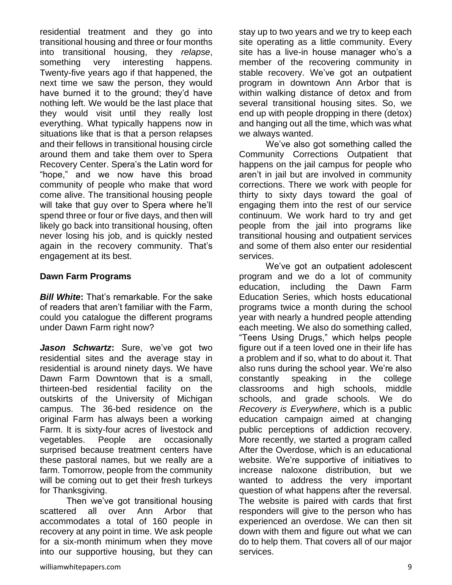residential treatment and they go into transitional housing and three or four months into transitional housing, they *relapse*, something very interesting happens. Twenty-five years ago if that happened, the next time we saw the person, they would have burned it to the ground; they'd have nothing left. We would be the last place that they would visit until they really lost everything. What typically happens now in situations like that is that a person relapses and their fellows in transitional housing circle around them and take them over to Spera Recovery Center. Spera's the Latin word for "hope," and we now have this broad community of people who make that word come alive. The transitional housing people will take that guy over to Spera where he'll spend three or four or five days, and then will likely go back into transitional housing, often never losing his job, and is quickly nested again in the recovery community. That's engagement at its best.

#### **Dawn Farm Programs**

*Bill White***:** That's remarkable. For the sake of readers that aren't familiar with the Farm, could you catalogue the different programs under Dawn Farm right now?

*Jason Schwartz***:** Sure, we've got two residential sites and the average stay in residential is around ninety days. We have Dawn Farm Downtown that is a small, thirteen-bed residential facility on the outskirts of the University of Michigan campus. The 36-bed residence on the original Farm has always been a working Farm. It is sixty-four acres of livestock and vegetables. People are occasionally surprised because treatment centers have these pastoral names, but we really are a farm. Tomorrow, people from the community will be coming out to get their fresh turkeys for Thanksgiving.

Then we've got transitional housing scattered all over Ann Arbor that accommodates a total of 160 people in recovery at any point in time. We ask people for a six-month minimum when they move into our supportive housing, but they can stay up to two years and we try to keep each site operating as a little community. Every site has a live-in house manager who's a member of the recovering community in stable recovery. We've got an outpatient program in downtown Ann Arbor that is within walking distance of detox and from several transitional housing sites. So, we end up with people dropping in there (detox) and hanging out all the time, which was what we always wanted.

We've also got something called the Community Corrections Outpatient that happens on the jail campus for people who aren't in jail but are involved in community corrections. There we work with people for thirty to sixty days toward the goal of engaging them into the rest of our service continuum. We work hard to try and get people from the jail into programs like transitional housing and outpatient services and some of them also enter our residential services.

We've got an outpatient adolescent program and we do a lot of community education, including the Dawn Farm Education Series, which hosts educational programs twice a month during the school year with nearly a hundred people attending each meeting. We also do something called, "Teens Using Drugs," which helps people figure out if a teen loved one in their life has a problem and if so, what to do about it. That also runs during the school year. We're also constantly speaking in the college classrooms and high schools, middle schools, and grade schools. We do *Recovery is Everywhere*, which is a public education campaign aimed at changing public perceptions of addiction recovery. More recently, we started a program called After the Overdose, which is an educational website. We're supportive of initiatives to increase naloxone distribution, but we wanted to address the very important question of what happens after the reversal. The website is paired with cards that first responders will give to the person who has experienced an overdose. We can then sit down with them and figure out what we can do to help them. That covers all of our major services.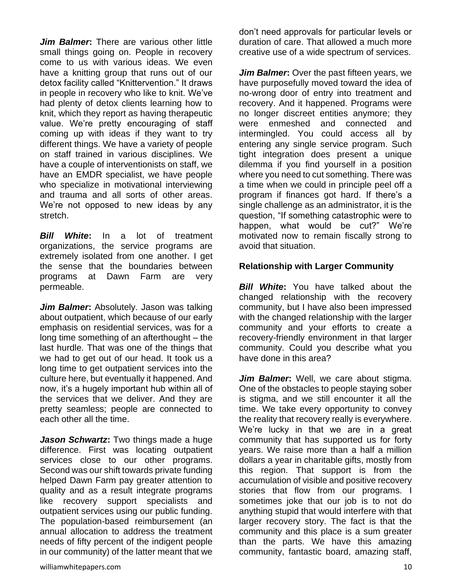*Jim Balmer***:** There are various other little small things going on. People in recovery come to us with various ideas. We even have a knitting group that runs out of our detox facility called "Knittervention." It draws in people in recovery who like to knit. We've had plenty of detox clients learning how to knit, which they report as having therapeutic value. We're pretty encouraging of staff coming up with ideas if they want to try different things. We have a variety of people on staff trained in various disciplines. We have a couple of interventionists on staff, we have an EMDR specialist, we have people who specialize in motivational interviewing and trauma and all sorts of other areas. We're not opposed to new ideas by any stretch.

*Bill White***:** In a lot of treatment organizations, the service programs are extremely isolated from one another. I get the sense that the boundaries between programs at Dawn Farm are very permeable.

*Jim Balmer***:** Absolutely. Jason was talking about outpatient, which because of our early emphasis on residential services, was for a long time something of an afterthought – the last hurdle. That was one of the things that we had to get out of our head. It took us a long time to get outpatient services into the culture here, but eventually it happened. And now, it's a hugely important hub within all of the services that we deliver. And they are pretty seamless; people are connected to each other all the time.

*Jason Schwartz***:** Two things made a huge difference. First was locating outpatient services close to our other programs. Second was our shift towards private funding helped Dawn Farm pay greater attention to quality and as a result integrate programs like recovery support specialists and outpatient services using our public funding. The population-based reimbursement (an annual allocation to address the treatment needs of fifty percent of the indigent people in our community) of the latter meant that we

don't need approvals for particular levels or duration of care. That allowed a much more creative use of a wide spectrum of services.

*Jim Balmer***:** Over the past fifteen years, we have purposefully moved toward the idea of no-wrong door of entry into treatment and recovery. And it happened. Programs were no longer discreet entities anymore; they were enmeshed and connected and intermingled. You could access all by entering any single service program. Such tight integration does present a unique dilemma if you find yourself in a position where you need to cut something. There was a time when we could in principle peel off a program if finances got hard. If there's a single challenge as an administrator, it is the question, "If something catastrophic were to happen, what would be cut?" We're motivated now to remain fiscally strong to avoid that situation.

#### **Relationship with Larger Community**

**Bill White:** You have talked about the changed relationship with the recovery community, but I have also been impressed with the changed relationship with the larger community and your efforts to create a recovery-friendly environment in that larger community. Could you describe what you have done in this area?

*Jim Balmer*: Well, we care about stigma. One of the obstacles to people staying sober is stigma, and we still encounter it all the time. We take every opportunity to convey the reality that recovery really is everywhere. We're lucky in that we are in a great community that has supported us for forty years. We raise more than a half a million dollars a year in charitable gifts, mostly from this region. That support is from the accumulation of visible and positive recovery stories that flow from our programs. I sometimes joke that our job is to not do anything stupid that would interfere with that larger recovery story. The fact is that the community and this place is a sum greater than the parts. We have this amazing community, fantastic board, amazing staff,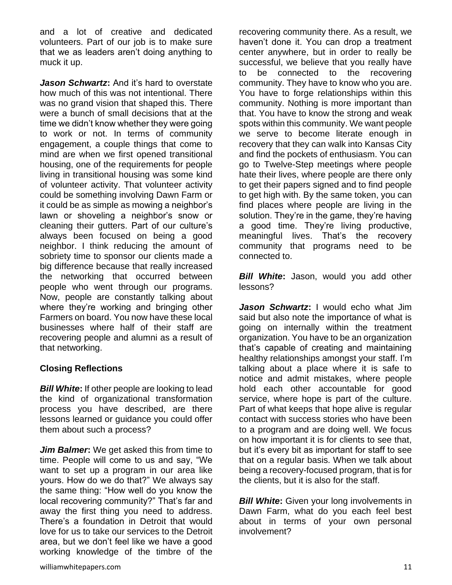and a lot of creative and dedicated volunteers. Part of our job is to make sure that we as leaders aren't doing anything to muck it up.

*Jason Schwartz***:** And it's hard to overstate how much of this was not intentional. There was no grand vision that shaped this. There were a bunch of small decisions that at the time we didn't know whether they were going to work or not. In terms of community engagement, a couple things that come to mind are when we first opened transitional housing, one of the requirements for people living in transitional housing was some kind of volunteer activity. That volunteer activity could be something involving Dawn Farm or it could be as simple as mowing a neighbor's lawn or shoveling a neighbor's snow or cleaning their gutters. Part of our culture's always been focused on being a good neighbor. I think reducing the amount of sobriety time to sponsor our clients made a big difference because that really increased the networking that occurred between people who went through our programs. Now, people are constantly talking about where they're working and bringing other Farmers on board. You now have these local businesses where half of their staff are recovering people and alumni as a result of that networking.

# **Closing Reflections**

*Bill White***:** If other people are looking to lead the kind of organizational transformation process you have described, are there lessons learned or guidance you could offer them about such a process?

*Jim Balmer***:** We get asked this from time to time. People will come to us and say, "We want to set up a program in our area like yours. How do we do that?" We always say the same thing: "How well do you know the local recovering community?" That's far and away the first thing you need to address. There's a foundation in Detroit that would love for us to take our services to the Detroit area, but we don't feel like we have a good working knowledge of the timbre of the

recovering community there. As a result, we haven't done it. You can drop a treatment center anywhere, but in order to really be successful, we believe that you really have to be connected to the recovering community. They have to know who you are. You have to forge relationships within this community. Nothing is more important than that. You have to know the strong and weak spots within this community. We want people we serve to become literate enough in recovery that they can walk into Kansas City and find the pockets of enthusiasm. You can go to Twelve-Step meetings where people hate their lives, where people are there only to get their papers signed and to find people to get high with. By the same token, you can find places where people are living in the solution. They're in the game, they're having a good time. They're living productive, meaningful lives. That's the recovery community that programs need to be connected to.

*Bill White***:** Jason, would you add other lessons?

*Jason Schwartz***:** I would echo what Jim said but also note the importance of what is going on internally within the treatment organization. You have to be an organization that's capable of creating and maintaining healthy relationships amongst your staff. I'm talking about a place where it is safe to notice and admit mistakes, where people hold each other accountable for good service, where hope is part of the culture. Part of what keeps that hope alive is regular contact with success stories who have been to a program and are doing well. We focus on how important it is for clients to see that, but it's every bit as important for staff to see that on a regular basis. When we talk about being a recovery-focused program, that is for the clients, but it is also for the staff.

*Bill White:* Given your long involvements in Dawn Farm, what do you each feel best about in terms of your own personal involvement?